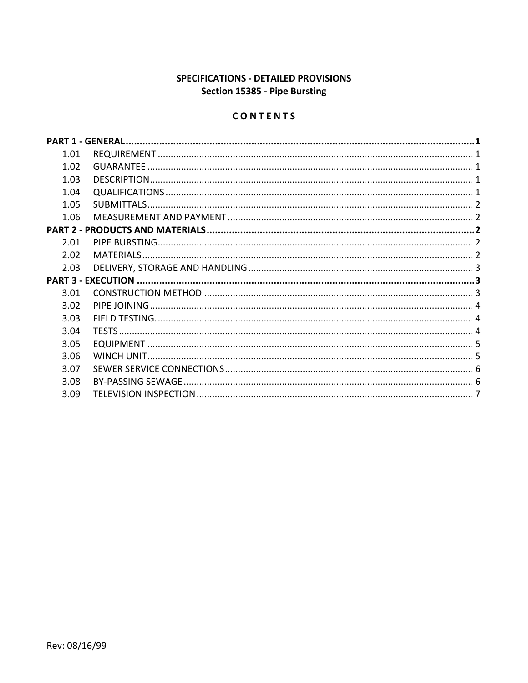# SPECIFICATIONS - DETAILED PROVISIONS Section 15385 - Pipe Bursting

# CONTENTS

| 1.01 |  |
|------|--|
| 1.02 |  |
| 1.03 |  |
| 1.04 |  |
| 1.05 |  |
| 1.06 |  |
|      |  |
| 2.01 |  |
| 2.02 |  |
| 2.03 |  |
|      |  |
| 3.01 |  |
| 3.02 |  |
| 3.03 |  |
| 3.04 |  |
| 3.05 |  |
| 3.06 |  |
| 3.07 |  |
| 3.08 |  |
| 3.09 |  |
|      |  |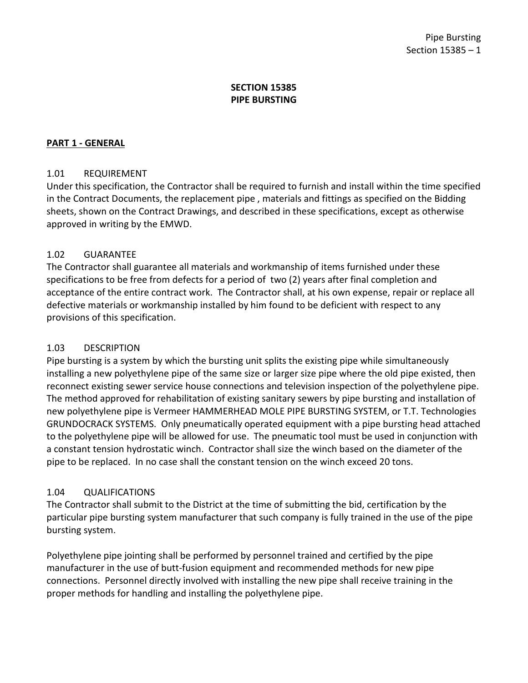## **SECTION 15385 PIPE BURSTING**

### <span id="page-2-0"></span>**PART 1 - GENERAL**

### <span id="page-2-1"></span>1.01 REQUIREMENT

Under this specification, the Contractor shall be required to furnish and install within the time specified in the Contract Documents, the replacement pipe , materials and fittings as specified on the Bidding sheets, shown on the Contract Drawings, and described in these specifications, except as otherwise approved in writing by the EMWD.

### <span id="page-2-2"></span>1.02 GUARANTEE

The Contractor shall guarantee all materials and workmanship of items furnished under these specifications to be free from defects for a period of two (2) years after final completion and acceptance of the entire contract work. The Contractor shall, at his own expense, repair or replace all defective materials or workmanship installed by him found to be deficient with respect to any provisions of this specification.

### <span id="page-2-3"></span>1.03 DESCRIPTION

Pipe bursting is a system by which the bursting unit splits the existing pipe while simultaneously installing a new polyethylene pipe of the same size or larger size pipe where the old pipe existed, then reconnect existing sewer service house connections and television inspection of the polyethylene pipe. The method approved for rehabilitation of existing sanitary sewers by pipe bursting and installation of new polyethylene pipe is Vermeer HAMMERHEAD MOLE PIPE BURSTING SYSTEM, or T.T. Technologies GRUNDOCRACK SYSTEMS. Only pneumatically operated equipment with a pipe bursting head attached to the polyethylene pipe will be allowed for use. The pneumatic tool must be used in conjunction with a constant tension hydrostatic winch. Contractor shall size the winch based on the diameter of the pipe to be replaced. In no case shall the constant tension on the winch exceed 20 tons.

### <span id="page-2-4"></span>1.04 QUALIFICATIONS

The Contractor shall submit to the District at the time of submitting the bid, certification by the particular pipe bursting system manufacturer that such company is fully trained in the use of the pipe bursting system.

Polyethylene pipe jointing shall be performed by personnel trained and certified by the pipe manufacturer in the use of butt-fusion equipment and recommended methods for new pipe connections. Personnel directly involved with installing the new pipe shall receive training in the proper methods for handling and installing the polyethylene pipe.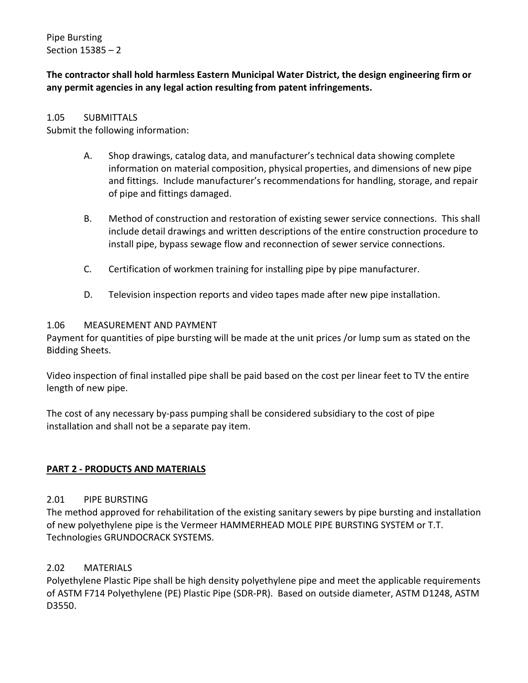Pipe Bursting Section 15385 – 2

**The contractor shall hold harmless Eastern Municipal Water District, the design engineering firm or any permit agencies in any legal action resulting from patent infringements.**

#### <span id="page-3-0"></span>1.05 SUBMITTALS

Submit the following information:

- A. Shop drawings, catalog data, and manufacturer's technical data showing complete information on material composition, physical properties, and dimensions of new pipe and fittings. Include manufacturer's recommendations for handling, storage, and repair of pipe and fittings damaged.
- B. Method of construction and restoration of existing sewer service connections. This shall include detail drawings and written descriptions of the entire construction procedure to install pipe, bypass sewage flow and reconnection of sewer service connections.
- C. Certification of workmen training for installing pipe by pipe manufacturer.
- D. Television inspection reports and video tapes made after new pipe installation.

#### <span id="page-3-1"></span>1.06 MEASUREMENT AND PAYMENT

Payment for quantities of pipe bursting will be made at the unit prices /or lump sum as stated on the Bidding Sheets.

Video inspection of final installed pipe shall be paid based on the cost per linear feet to TV the entire length of new pipe.

The cost of any necessary by-pass pumping shall be considered subsidiary to the cost of pipe installation and shall not be a separate pay item.

### <span id="page-3-2"></span>**PART 2 - PRODUCTS AND MATERIALS**

### <span id="page-3-3"></span>2.01 PIPE BURSTING

The method approved for rehabilitation of the existing sanitary sewers by pipe bursting and installation of new polyethylene pipe is the Vermeer HAMMERHEAD MOLE PIPE BURSTING SYSTEM or T.T. Technologies GRUNDOCRACK SYSTEMS.

### <span id="page-3-4"></span>2.02 MATERIALS

Polyethylene Plastic Pipe shall be high density polyethylene pipe and meet the applicable requirements of ASTM F714 Polyethylene (PE) Plastic Pipe (SDR-PR). Based on outside diameter, ASTM D1248, ASTM D3550.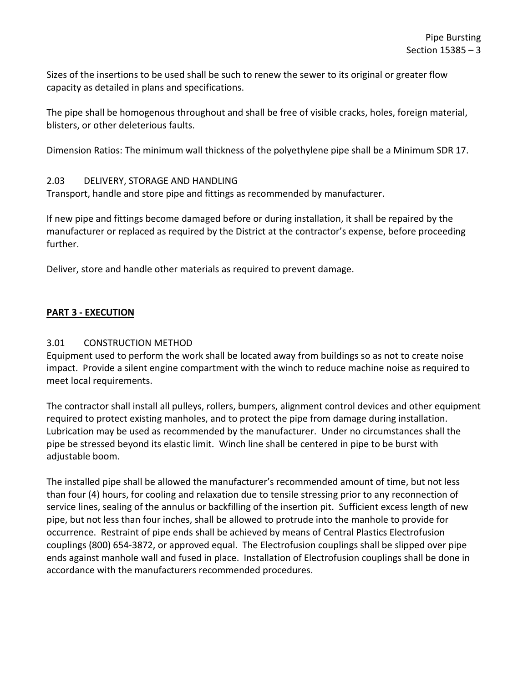Sizes of the insertions to be used shall be such to renew the sewer to its original or greater flow capacity as detailed in plans and specifications.

The pipe shall be homogenous throughout and shall be free of visible cracks, holes, foreign material, blisters, or other deleterious faults.

Dimension Ratios: The minimum wall thickness of the polyethylene pipe shall be a Minimum SDR 17.

### <span id="page-4-0"></span>2.03 DELIVERY, STORAGE AND HANDLING

Transport, handle and store pipe and fittings as recommended by manufacturer.

If new pipe and fittings become damaged before or during installation, it shall be repaired by the manufacturer or replaced as required by the District at the contractor's expense, before proceeding further.

Deliver, store and handle other materials as required to prevent damage.

## <span id="page-4-1"></span>**PART 3 - EXECUTION**

### <span id="page-4-2"></span>3.01 CONSTRUCTION METHOD

Equipment used to perform the work shall be located away from buildings so as not to create noise impact. Provide a silent engine compartment with the winch to reduce machine noise as required to meet local requirements.

The contractor shall install all pulleys, rollers, bumpers, alignment control devices and other equipment required to protect existing manholes, and to protect the pipe from damage during installation. Lubrication may be used as recommended by the manufacturer. Under no circumstances shall the pipe be stressed beyond its elastic limit. Winch line shall be centered in pipe to be burst with adjustable boom.

The installed pipe shall be allowed the manufacturer's recommended amount of time, but not less than four (4) hours, for cooling and relaxation due to tensile stressing prior to any reconnection of service lines, sealing of the annulus or backfilling of the insertion pit. Sufficient excess length of new pipe, but not less than four inches, shall be allowed to protrude into the manhole to provide for occurrence. Restraint of pipe ends shall be achieved by means of Central Plastics Electrofusion couplings (800) 654-3872, or approved equal. The Electrofusion couplings shall be slipped over pipe ends against manhole wall and fused in place. Installation of Electrofusion couplings shall be done in accordance with the manufacturers recommended procedures.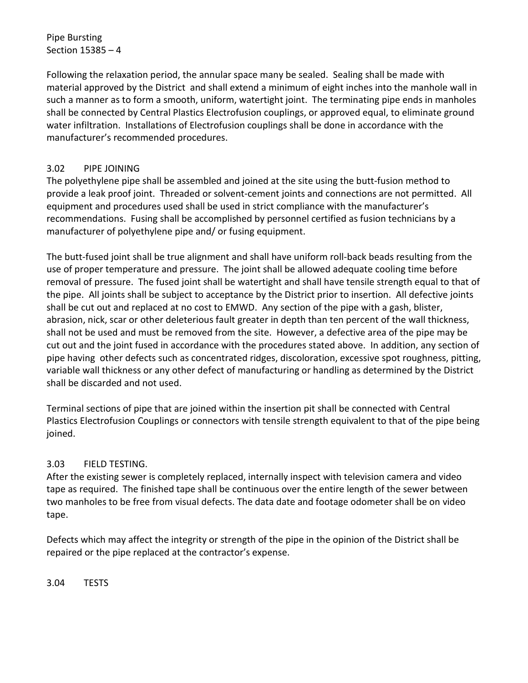## Pipe Bursting Section 15385 – 4

Following the relaxation period, the annular space many be sealed. Sealing shall be made with material approved by the District and shall extend a minimum of eight inches into the manhole wall in such a manner as to form a smooth, uniform, watertight joint. The terminating pipe ends in manholes shall be connected by Central Plastics Electrofusion couplings, or approved equal, to eliminate ground water infiltration. Installations of Electrofusion couplings shall be done in accordance with the manufacturer's recommended procedures.

## <span id="page-5-0"></span>3.02 PIPE JOINING

The polyethylene pipe shall be assembled and joined at the site using the butt-fusion method to provide a leak proof joint. Threaded or solvent-cement joints and connections are not permitted. All equipment and procedures used shall be used in strict compliance with the manufacturer's recommendations. Fusing shall be accomplished by personnel certified as fusion technicians by a manufacturer of polyethylene pipe and/ or fusing equipment.

The butt-fused joint shall be true alignment and shall have uniform roll-back beads resulting from the use of proper temperature and pressure. The joint shall be allowed adequate cooling time before removal of pressure. The fused joint shall be watertight and shall have tensile strength equal to that of the pipe. All joints shall be subject to acceptance by the District prior to insertion. All defective joints shall be cut out and replaced at no cost to EMWD. Any section of the pipe with a gash, blister, abrasion, nick, scar or other deleterious fault greater in depth than ten percent of the wall thickness, shall not be used and must be removed from the site. However, a defective area of the pipe may be cut out and the joint fused in accordance with the procedures stated above. In addition, any section of pipe having other defects such as concentrated ridges, discoloration, excessive spot roughness, pitting, variable wall thickness or any other defect of manufacturing or handling as determined by the District shall be discarded and not used.

Terminal sections of pipe that are joined within the insertion pit shall be connected with Central Plastics Electrofusion Couplings or connectors with tensile strength equivalent to that of the pipe being joined.

## <span id="page-5-1"></span>3.03 FIELD TESTING.

After the existing sewer is completely replaced, internally inspect with television camera and video tape as required. The finished tape shall be continuous over the entire length of the sewer between two manholes to be free from visual defects. The data date and footage odometer shall be on video tape.

Defects which may affect the integrity or strength of the pipe in the opinion of the District shall be repaired or the pipe replaced at the contractor's expense.

<span id="page-5-2"></span>3.04 TESTS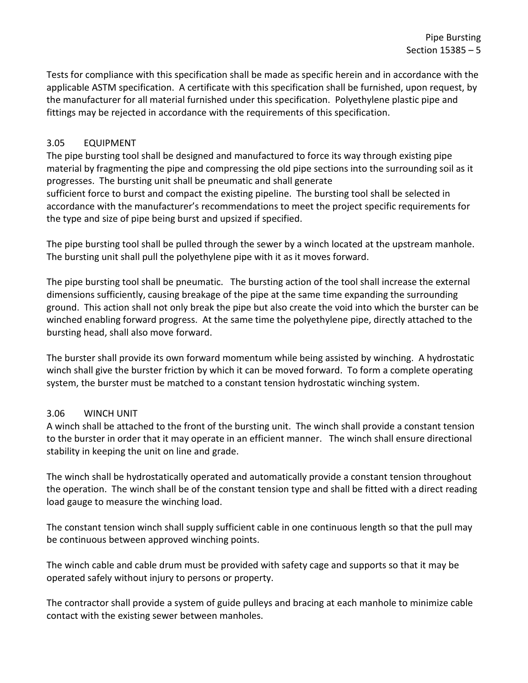Tests for compliance with this specification shall be made as specific herein and in accordance with the applicable ASTM specification. A certificate with this specification shall be furnished, upon request, by the manufacturer for all material furnished under this specification. Polyethylene plastic pipe and fittings may be rejected in accordance with the requirements of this specification.

## <span id="page-6-0"></span>3.05 EQUIPMENT

The pipe bursting tool shall be designed and manufactured to force its way through existing pipe material by fragmenting the pipe and compressing the old pipe sections into the surrounding soil as it progresses. The bursting unit shall be pneumatic and shall generate

sufficient force to burst and compact the existing pipeline. The bursting tool shall be selected in accordance with the manufacturer's recommendations to meet the project specific requirements for the type and size of pipe being burst and upsized if specified.

The pipe bursting tool shall be pulled through the sewer by a winch located at the upstream manhole. The bursting unit shall pull the polyethylene pipe with it as it moves forward.

The pipe bursting tool shall be pneumatic. The bursting action of the tool shall increase the external dimensions sufficiently, causing breakage of the pipe at the same time expanding the surrounding ground. This action shall not only break the pipe but also create the void into which the burster can be winched enabling forward progress. At the same time the polyethylene pipe, directly attached to the bursting head, shall also move forward.

The burster shall provide its own forward momentum while being assisted by winching. A hydrostatic winch shall give the burster friction by which it can be moved forward. To form a complete operating system, the burster must be matched to a constant tension hydrostatic winching system.

## <span id="page-6-1"></span>3.06 WINCH UNIT

A winch shall be attached to the front of the bursting unit. The winch shall provide a constant tension to the burster in order that it may operate in an efficient manner. The winch shall ensure directional stability in keeping the unit on line and grade.

The winch shall be hydrostatically operated and automatically provide a constant tension throughout the operation. The winch shall be of the constant tension type and shall be fitted with a direct reading load gauge to measure the winching load.

The constant tension winch shall supply sufficient cable in one continuous length so that the pull may be continuous between approved winching points.

The winch cable and cable drum must be provided with safety cage and supports so that it may be operated safely without injury to persons or property.

The contractor shall provide a system of guide pulleys and bracing at each manhole to minimize cable contact with the existing sewer between manholes.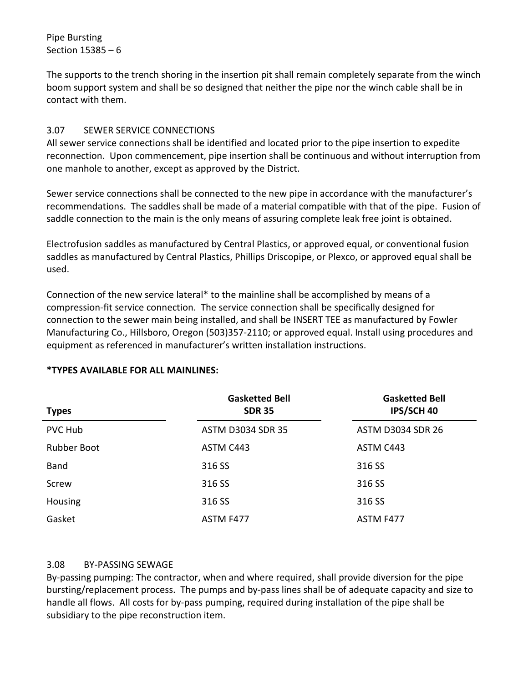Pipe Bursting Section 15385 – 6

The supports to the trench shoring in the insertion pit shall remain completely separate from the winch boom support system and shall be so designed that neither the pipe nor the winch cable shall be in contact with them.

## <span id="page-7-0"></span>3.07 SEWER SERVICE CONNECTIONS

All sewer service connections shall be identified and located prior to the pipe insertion to expedite reconnection. Upon commencement, pipe insertion shall be continuous and without interruption from one manhole to another, except as approved by the District.

Sewer service connections shall be connected to the new pipe in accordance with the manufacturer's recommendations. The saddles shall be made of a material compatible with that of the pipe. Fusion of saddle connection to the main is the only means of assuring complete leak free joint is obtained.

Electrofusion saddles as manufactured by Central Plastics, or approved equal, or conventional fusion saddles as manufactured by Central Plastics, Phillips Driscopipe, or Plexco, or approved equal shall be used.

Connection of the new service lateral\* to the mainline shall be accomplished by means of a compression-fit service connection. The service connection shall be specifically designed for connection to the sewer main being installed, and shall be INSERT TEE as manufactured by Fowler Manufacturing Co., Hillsboro, Oregon (503)357-2110; or approved equal. Install using procedures and equipment as referenced in manufacturer's written installation instructions.

## **\*TYPES AVAILABLE FOR ALL MAINLINES:**

| <b>Types</b>       | <b>Gasketted Bell</b><br><b>SDR 35</b> | <b>Gasketted Bell</b><br>IPS/SCH 40 |
|--------------------|----------------------------------------|-------------------------------------|
| <b>PVC Hub</b>     | <b>ASTM D3034 SDR 35</b>               | <b>ASTM D3034 SDR 26</b>            |
| <b>Rubber Boot</b> | ASTM C443                              | ASTM C443                           |
| Band               | 316 SS                                 | 316 SS                              |
| Screw              | 316 SS                                 | 316 SS                              |
| <b>Housing</b>     | 316 SS                                 | 316 SS                              |
| Gasket             | ASTM F477                              | ASTM F477                           |

### <span id="page-7-1"></span>3.08 BY-PASSING SEWAGE

By-passing pumping: The contractor, when and where required, shall provide diversion for the pipe bursting/replacement process. The pumps and by-pass lines shall be of adequate capacity and size to handle all flows. All costs for by-pass pumping, required during installation of the pipe shall be subsidiary to the pipe reconstruction item.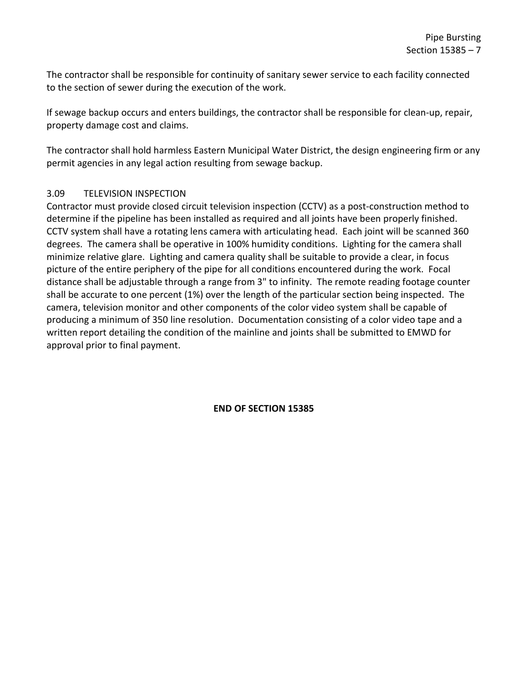The contractor shall be responsible for continuity of sanitary sewer service to each facility connected to the section of sewer during the execution of the work.

If sewage backup occurs and enters buildings, the contractor shall be responsible for clean-up, repair, property damage cost and claims.

The contractor shall hold harmless Eastern Municipal Water District, the design engineering firm or any permit agencies in any legal action resulting from sewage backup.

## <span id="page-8-0"></span>3.09 TELEVISION INSPECTION

Contractor must provide closed circuit television inspection (CCTV) as a post-construction method to determine if the pipeline has been installed as required and all joints have been properly finished. CCTV system shall have a rotating lens camera with articulating head. Each joint will be scanned 360 degrees. The camera shall be operative in 100% humidity conditions. Lighting for the camera shall minimize relative glare. Lighting and camera quality shall be suitable to provide a clear, in focus picture of the entire periphery of the pipe for all conditions encountered during the work. Focal distance shall be adjustable through a range from 3" to infinity. The remote reading footage counter shall be accurate to one percent (1%) over the length of the particular section being inspected. The camera, television monitor and other components of the color video system shall be capable of producing a minimum of 350 line resolution. Documentation consisting of a color video tape and a written report detailing the condition of the mainline and joints shall be submitted to EMWD for approval prior to final payment.

**END OF SECTION 15385**